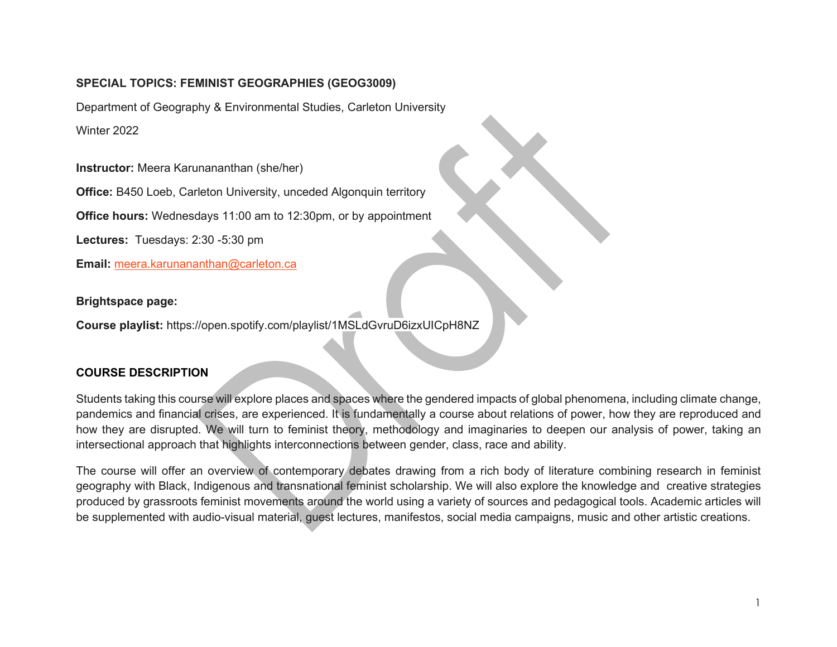### **SPECIAL TOPICS: FEMINIST GEOGRAPHIES (GEOG3009)**

Department of Geography & Environmental Studies, Carleton University Winter 2022

**Instructor:** Meera Karunananthan (she/her)

**Office:** B450 Loeb, Carleton University, unceded Algonquin territory

**Office hours:** Wednesdays 11:00 am to 12:30pm, or by appointment

**Lectures:** Tuesdays: 2:30 -5:30 pm

**Email:** [meera.karunananthan@carleton.ca](mailto:meera.karunananthan@carleton.ca)

**Brightspace page:**

**Course playlist:** https://open.spotify.com/playlist/1MSLdGvruD6izxUICpH8NZ

### **COURSE DESCRIPTION**

Students taking this course will explore places and spaces where the gendered impacts of global phenomena, including climate change, pandemics and financial crises, are experienced. It is fundamentally a course about relations of power, how they are reproduced and how they are disrupted. We will turn to feminist theory, methodology and imaginaries to deepen our analysis of power, taking an intersectional approach that highlights interconnections between gender, class, race and ability.

The course will offer an overview of contemporary debates drawing from a rich body of literature combining research in feminist geography with Black, Indigenous and transnational feminist scholarship. We will also explore the knowledge and creative strategies produced by grassroots feminist movements around the world using a variety of sources and pedagogical tools. Academic articles will be supplemented with audio-visual material, guest lectures, manifestos, social media campaigns, music and other artistic creations.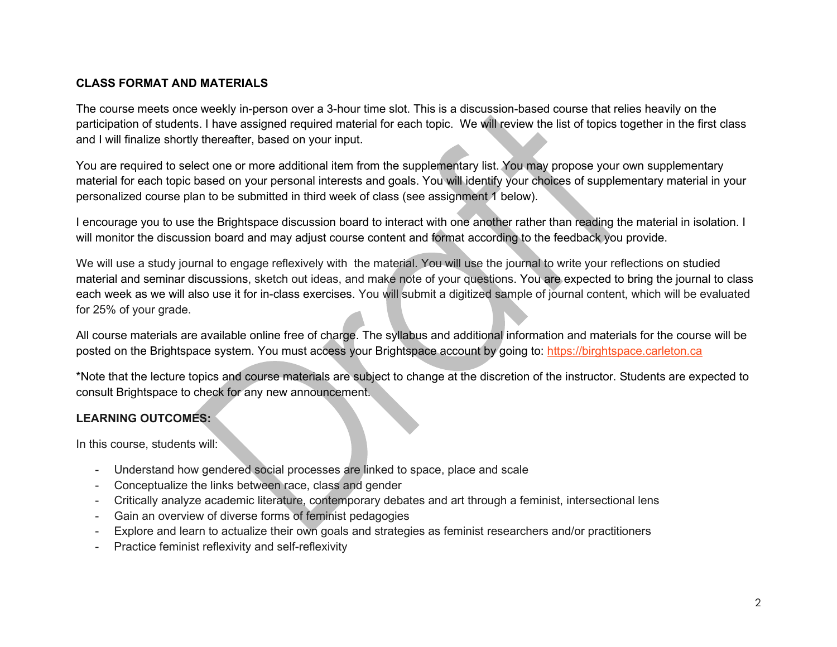### **CLASS FORMAT AND MATERIALS**

The course meets once weekly in-person over a 3-hour time slot. This is a discussion-based course that relies heavily on the participation of students. I have assigned required material for each topic. We will review the list of topics together in the first class and I will finalize shortly thereafter, based on your input.

You are required to select one or more additional item from the supplementary list. You may propose your own supplementary material for each topic based on your personal interests and goals. You will identify your choices of supplementary material in your personalized course plan to be submitted in third week of class (see assignment 1 below).

I encourage you to use the Brightspace discussion board to interact with one another rather than reading the material in isolation. I will monitor the discussion board and may adjust course content and format according to the feedback you provide.

We will use a study journal to engage reflexively with the material. You will use the journal to write your reflections on studied material and seminar discussions, sketch out ideas, and make note of your questions. You are expected to bring the journal to class each week as we will also use it for in-class exercises. You will submit a digitized sample of journal content, which will be evaluated for 25% of your grade.

All course materials are available online free of charge. The syllabus and additional information and materials for the course will be posted on the Brightspace system. You must access your Brightspace account by going to: [https://birghtspace.carleton.ca](https://birghtspace.carleton.ca/)

\*Note that the lecture topics and course materials are subject to change at the discretion of the instructor. Students are expected to consult Brightspace to check for any new announcement.

### **LEARNING OUTCOMES:**

In this course, students will:

- Understand how gendered social processes are linked to space, place and scale
- Conceptualize the links between race, class and gender
- Critically analyze academic literature, contemporary debates and art through a feminist, intersectional lens
- Gain an overview of diverse forms of feminist pedagogies
- Explore and learn to actualize their own goals and strategies as feminist researchers and/or practitioners
- Practice feminist reflexivity and self-reflexivity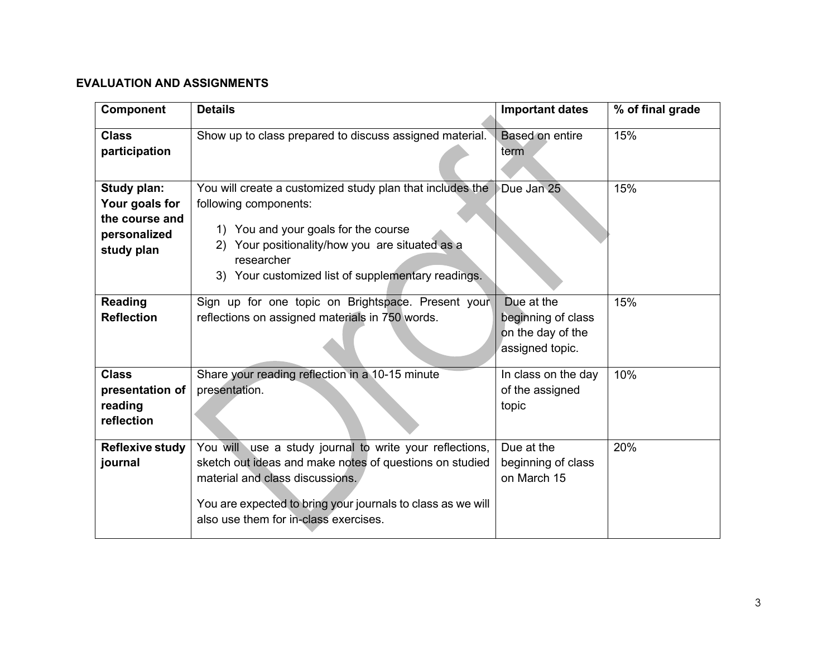## **EVALUATION AND ASSIGNMENTS**

| <b>Component</b>                                                              | <b>Details</b>                                                                                                                                                                                                                                                | <b>Important dates</b>                                                   | % of final grade |
|-------------------------------------------------------------------------------|---------------------------------------------------------------------------------------------------------------------------------------------------------------------------------------------------------------------------------------------------------------|--------------------------------------------------------------------------|------------------|
| <b>Class</b><br>participation                                                 | Show up to class prepared to discuss assigned material.                                                                                                                                                                                                       | Based on entire<br>term                                                  | 15%              |
| Study plan:<br>Your goals for<br>the course and<br>personalized<br>study plan | You will create a customized study plan that includes the<br>following components:<br>1) You and your goals for the course<br>2) Your positionality/how you are situated as a<br>researcher<br>3) Your customized list of supplementary readings.             | Due Jan 25                                                               | 15%              |
| <b>Reading</b><br><b>Reflection</b>                                           | Sign up for one topic on Brightspace. Present your<br>reflections on assigned materials in 750 words.                                                                                                                                                         | Due at the<br>beginning of class<br>on the day of the<br>assigned topic. | 15%              |
| <b>Class</b><br>presentation of<br>reading<br>reflection                      | Share your reading reflection in a 10-15 minute<br>presentation.                                                                                                                                                                                              | In class on the day<br>of the assigned<br>topic                          | 10%              |
| <b>Reflexive study</b><br>journal                                             | You will use a study journal to write your reflections,<br>sketch out ideas and make notes of questions on studied<br>material and class discussions.<br>You are expected to bring your journals to class as we will<br>also use them for in-class exercises. | Due at the<br>beginning of class<br>on March 15                          | 20%              |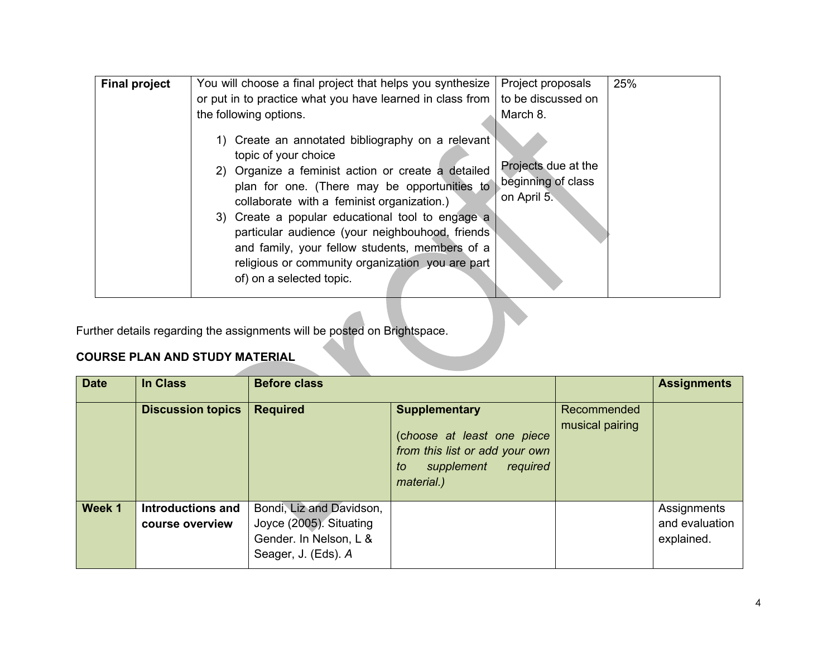| <b>Final project</b> | You will choose a final project that helps you synthesize                                                                                                                                                                                                                                                                                                                                                                                                               | Project proposals                                        | 25% |
|----------------------|-------------------------------------------------------------------------------------------------------------------------------------------------------------------------------------------------------------------------------------------------------------------------------------------------------------------------------------------------------------------------------------------------------------------------------------------------------------------------|----------------------------------------------------------|-----|
|                      | or put in to practice what you have learned in class from                                                                                                                                                                                                                                                                                                                                                                                                               | to be discussed on                                       |     |
|                      | the following options.                                                                                                                                                                                                                                                                                                                                                                                                                                                  | March 8.                                                 |     |
|                      | 1) Create an annotated bibliography on a relevant<br>topic of your choice<br>2) Organize a feminist action or create a detailed<br>plan for one. (There may be opportunities to<br>collaborate with a feminist organization.)<br>3) Create a popular educational tool to engage a<br>particular audience (your neighbouhood, friends)<br>and family, your fellow students, members of a<br>religious or community organization you are part<br>of) on a selected topic. | Projects due at the<br>beginning of class<br>on April 5. |     |

Further details regarding the assignments will be posted on Brightspace.

# **COURSE PLAN AND STUDY MATERIAL**

| <b>Date</b> | In Class                             | <b>Before class</b>                                                                                  |                                                                                                                                    |                                | <b>Assignments</b>                          |
|-------------|--------------------------------------|------------------------------------------------------------------------------------------------------|------------------------------------------------------------------------------------------------------------------------------------|--------------------------------|---------------------------------------------|
|             | <b>Discussion topics</b>             | <b>Required</b>                                                                                      | <b>Supplementary</b><br>(choose at least one piece<br>from this list or add your own<br>supplement<br>required<br>to<br>material.) | Recommended<br>musical pairing |                                             |
| Week 1      | Introductions and<br>course overview | Bondi, Liz and Davidson,<br>Joyce (2005). Situating<br>Gender. In Nelson, L &<br>Seager, J. (Eds). A |                                                                                                                                    |                                | Assignments<br>and evaluation<br>explained. |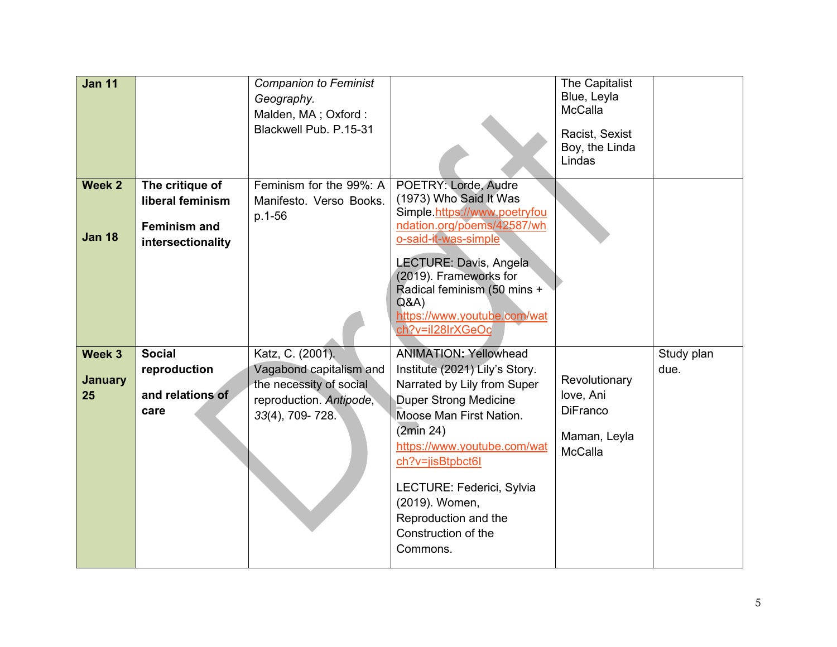| <b>Jan 11</b>                  |                                                                                 | <b>Companion to Feminist</b><br>Geography.<br>Malden, MA; Oxford:<br>Blackwell Pub. P.15-31                          |                                                                                                                                                                                                                                                                                                                                    | The Capitalist<br>Blue, Leyla<br>McCalla<br>Racist, Sexist<br>Boy, the Linda<br>Lindas |                    |
|--------------------------------|---------------------------------------------------------------------------------|----------------------------------------------------------------------------------------------------------------------|------------------------------------------------------------------------------------------------------------------------------------------------------------------------------------------------------------------------------------------------------------------------------------------------------------------------------------|----------------------------------------------------------------------------------------|--------------------|
| Week 2<br><b>Jan 18</b>        | The critique of<br>liberal feminism<br><b>Feminism and</b><br>intersectionality | Feminism for the 99%: A<br>Manifesto. Verso Books.<br>p.1-56                                                         | POETRY: Lorde, Audre<br>(1973) Who Said It Was<br>Simple.https://www.poetryfou<br>ndation.org/poems/42587/wh<br>o-said-it-was-simple<br>LECTURE: Davis, Angela<br>(2019). Frameworks for<br>Radical feminism (50 mins +<br>Q&A<br>https://www.youtube.com/wat<br>ch?v=il28lrXGeOc                                                  |                                                                                        |                    |
| Week 3<br><b>January</b><br>25 | <b>Social</b><br>reproduction<br>and relations of<br>care                       | Katz, C. (2001).<br>Vagabond capitalism and<br>the necessity of social<br>reproduction. Antipode,<br>33(4), 709-728. | <b>ANIMATION: Yellowhead</b><br>Institute (2021) Lily's Story.<br>Narrated by Lily from Super<br><b>Duper Strong Medicine</b><br>Moose Man First Nation.<br>(2min 24)<br>https://www.youtube.com/wat<br>ch?v=jisBtpbct6l<br>LECTURE: Federici, Sylvia<br>(2019). Women,<br>Reproduction and the<br>Construction of the<br>Commons. | Revolutionary<br>love, Ani<br><b>DiFranco</b><br>Maman, Leyla<br><b>McCalla</b>        | Study plan<br>due. |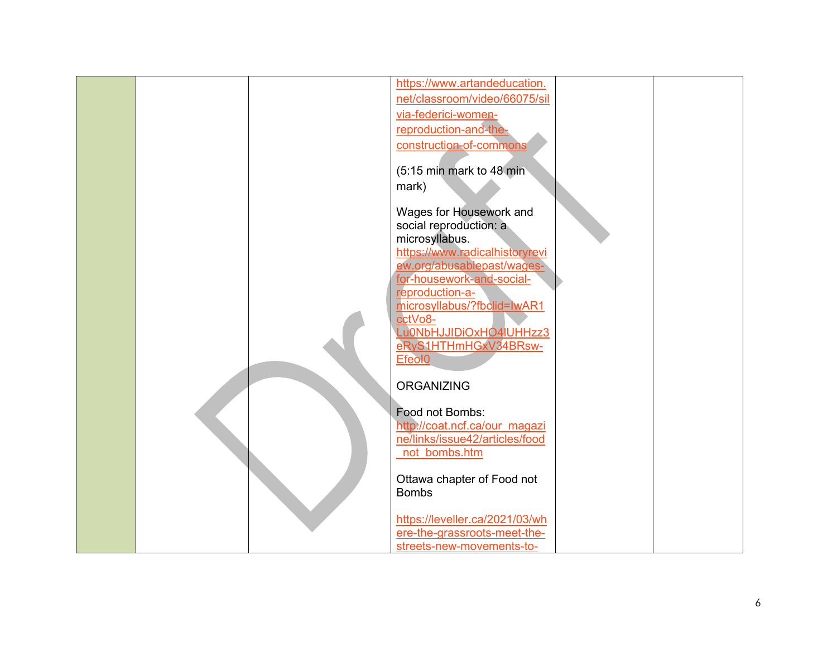|  | https://www.artandeducation.   |  |
|--|--------------------------------|--|
|  | net/classroom/video/66075/sil  |  |
|  | via-federici-women-            |  |
|  | reproduction-and-the-          |  |
|  |                                |  |
|  | construction-of-commons        |  |
|  |                                |  |
|  | (5:15 min mark to 48 min       |  |
|  | mark)                          |  |
|  |                                |  |
|  | Wages for Housework and        |  |
|  | social reproduction: a         |  |
|  | microsyllabus.                 |  |
|  | https://www.radicalhistoryrevi |  |
|  | ew.org/abusablepast/wages-     |  |
|  | for-housework-and-social-      |  |
|  | reproduction-a-                |  |
|  | microsyllabus/?fbclid=lwAR1    |  |
|  | cctVo8-                        |  |
|  | Lu0NbHJJIDiOxHO4 UHHzz3        |  |
|  |                                |  |
|  | eRyS1HTHmHGxV34BRsw-           |  |
|  | Efeol <sub>0</sub>             |  |
|  |                                |  |
|  | <b>ORGANIZING</b>              |  |
|  |                                |  |
|  | Food not Bombs:                |  |
|  | http://coat.ncf.ca/our_magazi  |  |
|  | ne/links/issue42/articles/food |  |
|  | not bombs.htm                  |  |
|  |                                |  |
|  | Ottawa chapter of Food not     |  |
|  | <b>Bombs</b>                   |  |
|  |                                |  |
|  | https://leveller.ca/2021/03/wh |  |
|  | ere-the-grassroots-meet-the-   |  |
|  | streets-new-movements-to-      |  |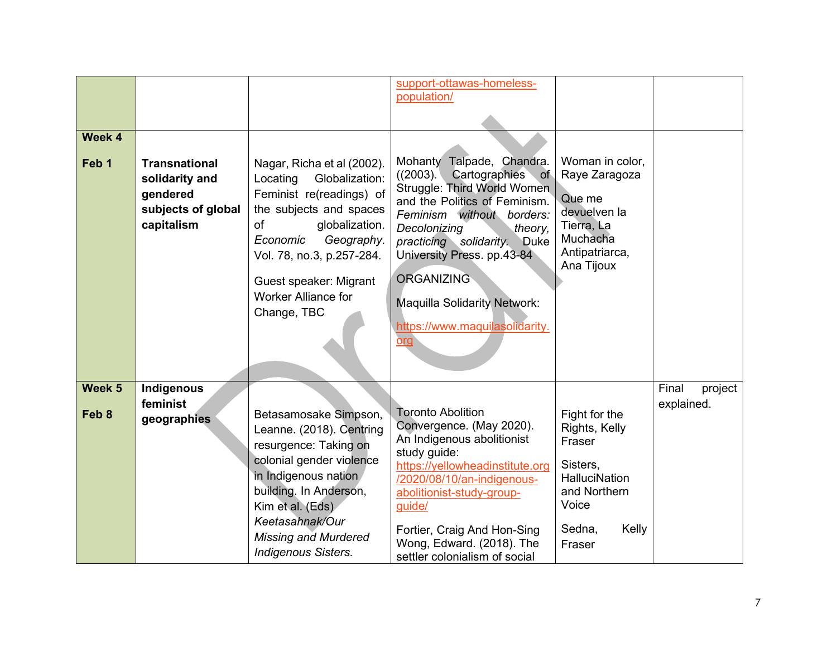| Week 4<br>Feb <sub>1</sub> | <b>Transnational</b><br>solidarity and<br>gendered<br>subjects of global<br>capitalism | Nagar, Richa et al (2002).<br>Locating<br>Globalization:<br>Feminist re(readings) of<br>the subjects and spaces<br>of<br>globalization.<br>Economic<br>Geography.<br>Vol. 78, no.3, p.257-284.<br>Guest speaker: Migrant<br><b>Worker Alliance for</b><br>Change, TBC | support-ottawas-homeless-<br>population/<br>Mohanty Talpade, Chandra.<br>Cartographies<br>((2003).<br>of<br>Struggle: Third World Women<br>and the Politics of Feminism.<br>Feminism without borders:<br>Decolonizing<br>theory,<br>practicing solidarity. Duke<br>University Press. pp.43-84<br><b>ORGANIZING</b><br><b>Maquilla Solidarity Network:</b><br>https://www.maquilasolidarity.<br>org | Woman in color,<br>Raye Zaragoza<br>Que me<br>devuelven la<br>Tierra, La<br>Muchacha<br>Antipatriarca,<br>Ana Tijoux               |                                |
|----------------------------|----------------------------------------------------------------------------------------|-----------------------------------------------------------------------------------------------------------------------------------------------------------------------------------------------------------------------------------------------------------------------|----------------------------------------------------------------------------------------------------------------------------------------------------------------------------------------------------------------------------------------------------------------------------------------------------------------------------------------------------------------------------------------------------|------------------------------------------------------------------------------------------------------------------------------------|--------------------------------|
| Week 5<br>Feb 8            | Indigenous<br>feminist<br>geographies                                                  | Betasamosake Simpson,<br>Leanne. (2018). Centring<br>resurgence: Taking on<br>colonial gender violence<br>in Indigenous nation<br>building. In Anderson,<br>Kim et al. (Eds)<br>Keetasahnak/Our<br><b>Missing and Murdered</b><br><b>Indigenous Sisters.</b>          | <b>Toronto Abolition</b><br>Convergence. (May 2020).<br>An Indigenous abolitionist<br>study guide:<br>https://yellowheadinstitute.org<br>/2020/08/10/an-indigenous-<br>abolitionist-study-group-<br>guide/<br>Fortier, Craig And Hon-Sing<br>Wong, Edward. (2018). The<br>settler colonialism of social                                                                                            | Fight for the<br>Rights, Kelly<br>Fraser<br>Sisters,<br><b>HalluciNation</b><br>and Northern<br>Voice<br>Sedna,<br>Kelly<br>Fraser | Final<br>project<br>explained. |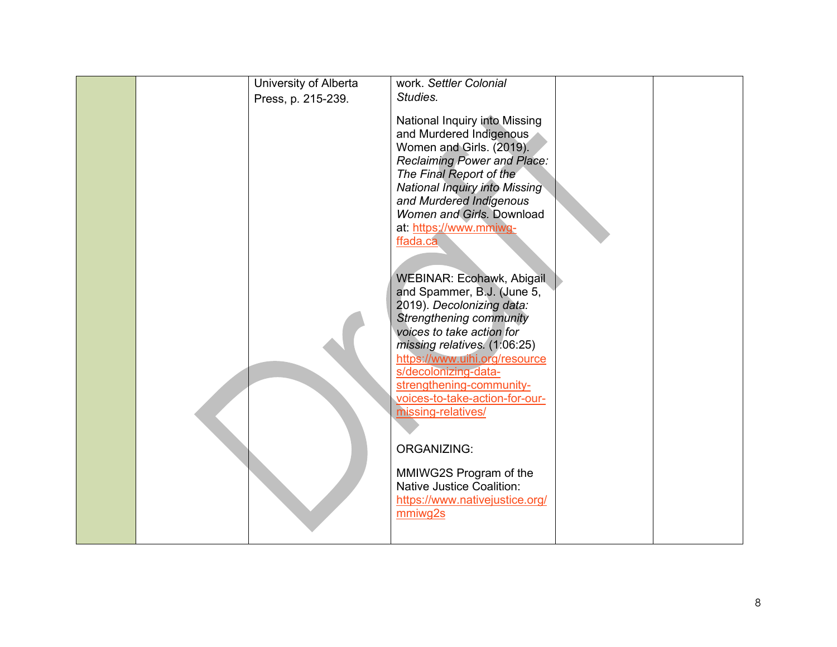|  | University of Alberta | work. Settler Colonial                                                                                                                                                                                                                                                                                                                                                                                                                                                                                                                                                                                                                                                                                                                                           |  |
|--|-----------------------|------------------------------------------------------------------------------------------------------------------------------------------------------------------------------------------------------------------------------------------------------------------------------------------------------------------------------------------------------------------------------------------------------------------------------------------------------------------------------------------------------------------------------------------------------------------------------------------------------------------------------------------------------------------------------------------------------------------------------------------------------------------|--|
|  | Press, p. 215-239.    | Studies.                                                                                                                                                                                                                                                                                                                                                                                                                                                                                                                                                                                                                                                                                                                                                         |  |
|  |                       | National Inquiry into Missing<br>and Murdered Indigenous<br>Women and Girls. (2019).<br><b>Reclaiming Power and Place:</b><br>The Final Report of the<br><b>National Inquiry into Missing</b><br>and Murdered Indigenous<br>Women and Girls. Download<br>at: https://www.mmiwg-<br>ffada.ca<br>WEBINAR: Ecohawk, Abigail<br>and Spammer, B.J. (June 5,<br>2019). Decolonizing data:<br><b>Strengthening community</b><br>voices to take action for<br>missing relatives. (1:06:25)<br>https://www.uihi.org/resource<br>s/decolonizing-data-<br>strengthening-community-<br>voices-to-take-action-for-our-<br>missing-relatives/<br><b>ORGANIZING:</b><br>MMIWG2S Program of the<br><b>Native Justice Coalition:</b><br>https://www.nativejustice.org/<br>mmiwg2s |  |
|  |                       |                                                                                                                                                                                                                                                                                                                                                                                                                                                                                                                                                                                                                                                                                                                                                                  |  |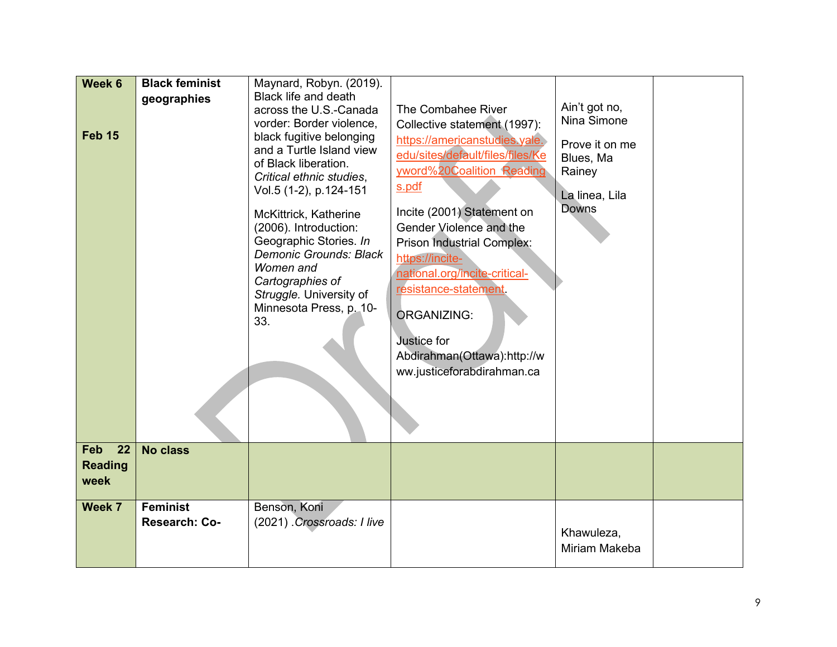| Week 6<br><b>Feb 15</b><br><b>Feb</b><br>22 | <b>Black feminist</b><br>geographies<br><b>No class</b> | Maynard, Robyn. (2019).<br><b>Black life and death</b><br>across the U.S.-Canada<br>vorder: Border violence,<br>black fugitive belonging<br>and a Turtle Island view<br>of Black liberation.<br>Critical ethnic studies,<br>Vol.5 (1-2), p.124-151<br>McKittrick, Katherine<br>(2006). Introduction:<br>Geographic Stories. In<br><b>Demonic Grounds: Black</b><br>Women and<br>Cartographies of<br>Struggle. University of<br>Minnesota Press, p. 10-<br>33. | The Combahee River<br>Collective statement (1997):<br>https://americanstudies.yale.<br>edu/sites/default/files/files/Ke<br>vword%20Coalition Reading<br>s.pdf<br>Incite (2001) Statement on<br>Gender Violence and the<br><b>Prison Industrial Complex:</b><br>https://incite-<br>national.org/incite-critical-<br>resistance-statement.<br><b>ORGANIZING:</b><br>Justice for<br>Abdirahman(Ottawa):http://w<br>ww.justiceforabdirahman.ca | Ain't got no,<br>Nina Simone<br>Prove it on me<br>Blues, Ma<br>Rainey<br>La linea, Lila<br><b>Downs</b> |  |
|---------------------------------------------|---------------------------------------------------------|---------------------------------------------------------------------------------------------------------------------------------------------------------------------------------------------------------------------------------------------------------------------------------------------------------------------------------------------------------------------------------------------------------------------------------------------------------------|--------------------------------------------------------------------------------------------------------------------------------------------------------------------------------------------------------------------------------------------------------------------------------------------------------------------------------------------------------------------------------------------------------------------------------------------|---------------------------------------------------------------------------------------------------------|--|
| <b>Reading</b><br>week                      |                                                         |                                                                                                                                                                                                                                                                                                                                                                                                                                                               |                                                                                                                                                                                                                                                                                                                                                                                                                                            |                                                                                                         |  |
| Week 7                                      | <b>Feminist</b><br>Research: Co-                        | Benson, Koni<br>(2021) Crossroads: I live                                                                                                                                                                                                                                                                                                                                                                                                                     |                                                                                                                                                                                                                                                                                                                                                                                                                                            | Khawuleza,<br>Miriam Makeba                                                                             |  |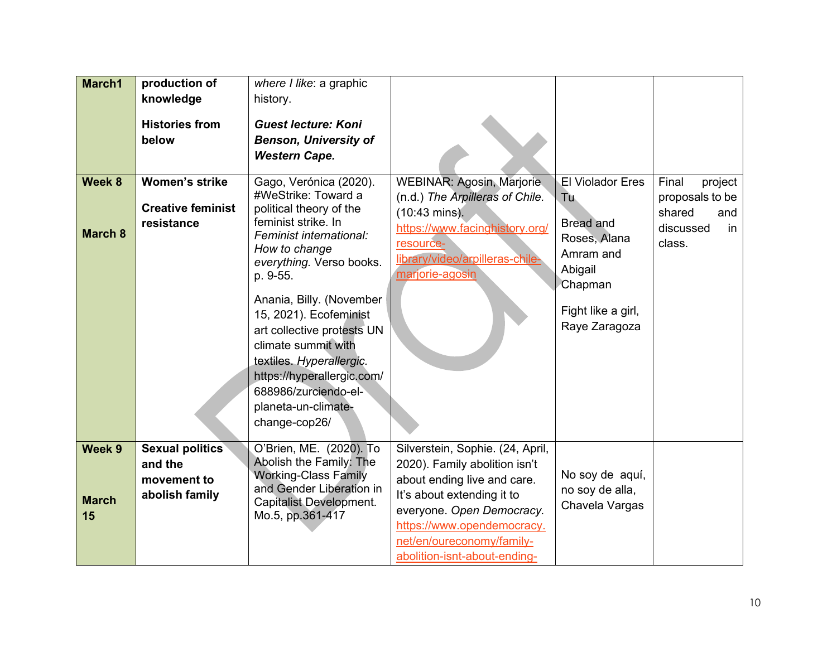| March1                       | production of<br>knowledge<br><b>Histories from</b><br>below       | where I like: a graphic<br>history.<br><b>Guest lecture: Koni</b><br><b>Benson, University of</b><br><b>Western Cape.</b>                                                                                                                                                                                                                                                                                                |                                                                                                                                                                                                                                                        |                                                                                                                                              |                                                                                   |
|------------------------------|--------------------------------------------------------------------|--------------------------------------------------------------------------------------------------------------------------------------------------------------------------------------------------------------------------------------------------------------------------------------------------------------------------------------------------------------------------------------------------------------------------|--------------------------------------------------------------------------------------------------------------------------------------------------------------------------------------------------------------------------------------------------------|----------------------------------------------------------------------------------------------------------------------------------------------|-----------------------------------------------------------------------------------|
| Week 8<br><b>March 8</b>     | <b>Women's strike</b><br><b>Creative feminist</b><br>resistance    | Gago, Verónica (2020).<br>#WeStrike: Toward a<br>political theory of the<br>feminist strike. In<br>Feminist international:<br>How to change<br>everything. Verso books.<br>p. 9-55.<br>Anania, Billy. (November<br>15, 2021). Ecofeminist<br>art collective protests UN<br>climate summit with<br>textiles. Hyperallergic.<br>https://hyperallergic.com/<br>688986/zurciendo-el-<br>planeta-un-climate-<br>change-cop26/ | WEBINAR: Agosin, Marjorie<br>(n.d.) The Arpilleras of Chile.<br>$(10:43 \text{ mins})$ .<br>https://www.facinghistory.org/<br>resource-<br>library/video/arpilleras-chile-<br>marjorie-agosin                                                          | <b>El Violador Eres</b><br>Tu.<br><b>Bread and</b><br>Roses, Alana<br>Amram and<br>Abigail<br>Chapman<br>Fight like a girl,<br>Raye Zaragoza | Final<br>project<br>proposals to be<br>shared<br>and<br>discussed<br>in<br>class. |
| Week 9<br><b>March</b><br>15 | <b>Sexual politics</b><br>and the<br>movement to<br>abolish family | O'Brien, ME. (2020). To<br>Abolish the Family: The<br><b>Working-Class Family</b><br>and Gender Liberation in<br><b>Capitalist Development.</b><br>Mo.5, pp.361-417                                                                                                                                                                                                                                                      | Silverstein, Sophie. (24, April,<br>2020). Family abolition isn't<br>about ending live and care.<br>It's about extending it to<br>everyone. Open Democracy.<br>https://www.opendemocracy.<br>net/en/oureconomy/family-<br>abolition-isnt-about-ending- | No soy de aquí,<br>no soy de alla,<br>Chavela Vargas                                                                                         |                                                                                   |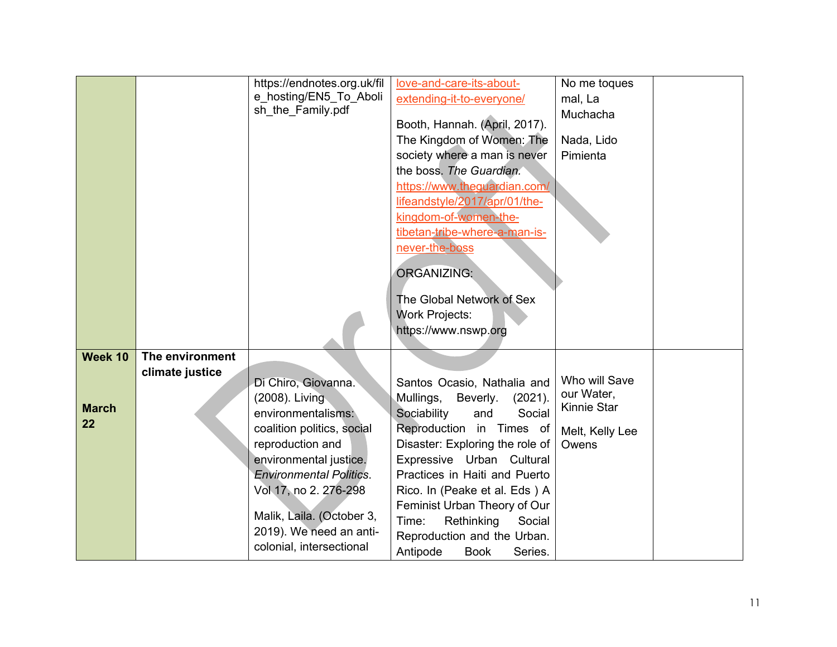|              |                 | https://endnotes.org.uk/fil    | love-and-care-its-about-           | No me toques             |
|--------------|-----------------|--------------------------------|------------------------------------|--------------------------|
|              |                 | e hosting/EN5_To_Aboli         | extending-it-to-everyone/          | mal, La                  |
|              |                 | sh the Family.pdf              |                                    | Muchacha                 |
|              |                 |                                | Booth, Hannah. (April, 2017).      |                          |
|              |                 |                                | The Kingdom of Women: The          | Nada, Lido               |
|              |                 |                                | society where a man is never       | Pimienta                 |
|              |                 |                                | the boss. The Guardian.            |                          |
|              |                 |                                | https://www.theguardian.com/       |                          |
|              |                 |                                | lifeandstyle/2017/apr/01/the-      |                          |
|              |                 |                                | kingdom-of-women-the-              |                          |
|              |                 |                                | tibetan-tribe-where-a-man-is-      |                          |
|              |                 |                                | never-the-boss                     |                          |
|              |                 |                                | <b>ORGANIZING:</b>                 |                          |
|              |                 |                                |                                    |                          |
|              |                 |                                | The Global Network of Sex          |                          |
|              |                 |                                | <b>Work Projects:</b>              |                          |
|              |                 |                                | https://www.nswp.org               |                          |
|              |                 |                                |                                    |                          |
| Week 10      | The environment |                                |                                    |                          |
|              | climate justice | Di Chiro, Giovanna.            | Santos Ocasio, Nathalia and        | Who will Save            |
|              |                 | (2008). Living                 | Mullings,<br>Beverly.<br>(2021).   | our Water,               |
| <b>March</b> |                 | environmentalisms:             | Social<br>Sociability<br>and       | Kinnie Star              |
| 22           |                 | coalition politics, social     | Reproduction in Times of           |                          |
|              |                 | reproduction and               | Disaster: Exploring the role of    | Melt, Kelly Lee<br>Owens |
|              |                 | environmental justice.         | Expressive Urban Cultural          |                          |
|              |                 | <b>Environmental Politics.</b> | Practices in Haiti and Puerto      |                          |
|              |                 | Vol 17, no 2. 276-298          | Rico. In (Peake et al. Eds ) A     |                          |
|              |                 |                                | Feminist Urban Theory of Our       |                          |
|              |                 | Malik, Laila. (October 3,      | Rethinking<br>Time:<br>Social      |                          |
|              |                 | 2019). We need an anti-        | Reproduction and the Urban.        |                          |
|              |                 | colonial, intersectional       | Antipode<br><b>Book</b><br>Series. |                          |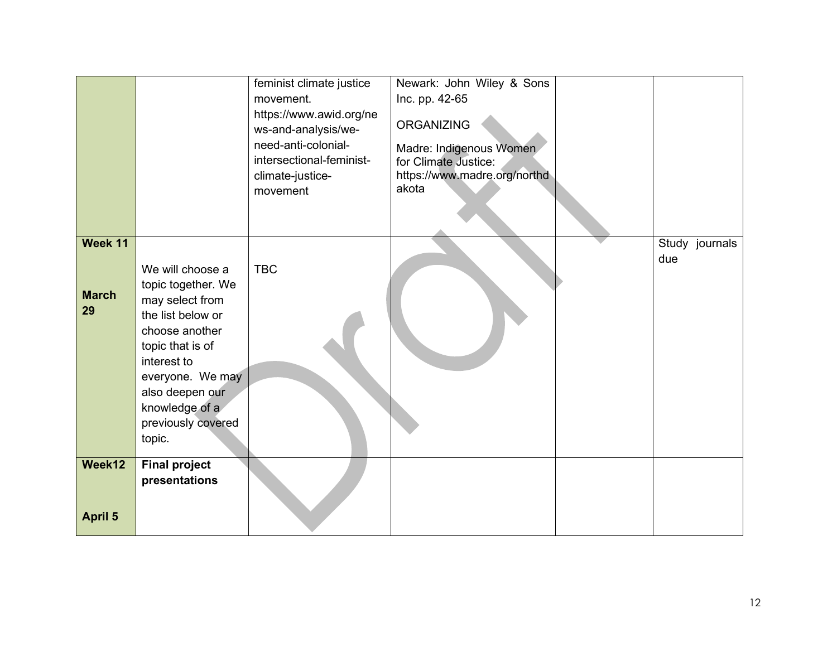|                               |                                                                                                                                                                                                                              | feminist climate justice<br>movement.<br>https://www.awid.org/ne<br>ws-and-analysis/we-<br>need-anti-colonial-<br>intersectional-feminist-<br>climate-justice-<br>movement | Newark: John Wiley & Sons<br>Inc. pp. 42-65<br><b>ORGANIZING</b><br>Madre: Indigenous Women<br>for Climate Justice:<br>https://www.madre.org/northd<br>akota |                       |
|-------------------------------|------------------------------------------------------------------------------------------------------------------------------------------------------------------------------------------------------------------------------|----------------------------------------------------------------------------------------------------------------------------------------------------------------------------|--------------------------------------------------------------------------------------------------------------------------------------------------------------|-----------------------|
| Week 11<br><b>March</b><br>29 | We will choose a<br>topic together. We<br>may select from<br>the list below or<br>choose another<br>topic that is of<br>interest to<br>everyone. We may<br>also deepen our<br>knowledge of a<br>previously covered<br>topic. | <b>TBC</b>                                                                                                                                                                 |                                                                                                                                                              | Study journals<br>due |
| Week12<br><b>April 5</b>      | <b>Final project</b><br>presentations                                                                                                                                                                                        |                                                                                                                                                                            |                                                                                                                                                              |                       |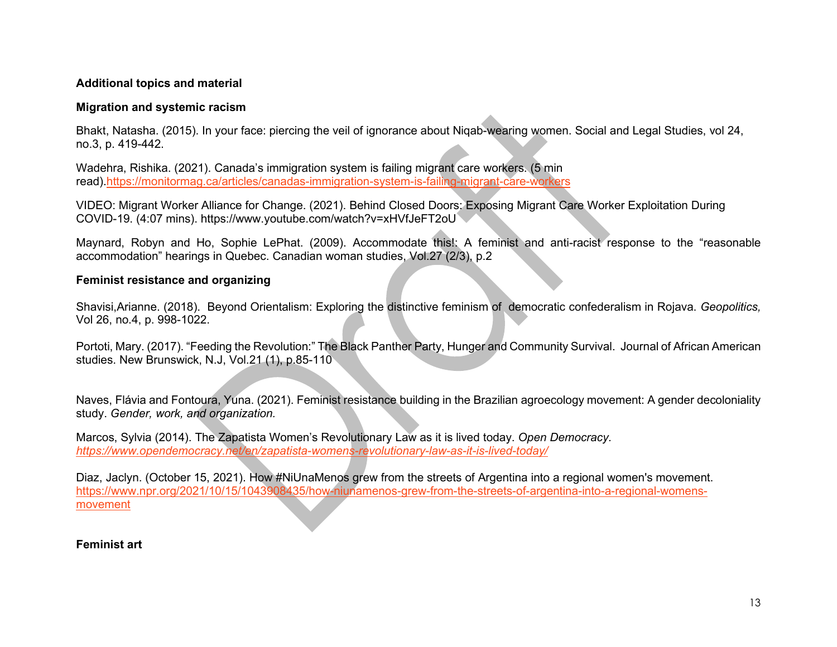### **Additional topics and material**

#### **Migration and systemic racism**

Bhakt, Natasha. (2015). In your face: piercing the veil of ignorance about Niqab-wearing women. Social and Legal Studies, vol 24, no.3, p. 419-442.

Wadehra, Rishika. (2021). Canada's immigration system is failing migrant care workers. (5 min read)[.https://monitormag.ca/articles/canadas-immigration-system-is-failing-migrant-care-workers](https://monitormag.ca/articles/canadas-immigration-system-is-failing-migrant-care-workers)

VIDEO: Migrant Worker Alliance for Change. (2021). Behind Closed Doors: Exposing Migrant Care Worker Exploitation During COVID-19. (4:07 mins). https://www.youtube.com/watch?v=xHVfJeFT2oU

Maynard, Robyn and Ho, Sophie LePhat. (2009). Accommodate this!: A feminist and anti-racist response to the "reasonable accommodation" hearings in Quebec. Canadian woman studies, Vol.27 (2/3), p.2

#### **Feminist resistance and organizing**

Shavisi,Arianne. (2018). Beyond Orientalism: Exploring the distinctive feminism of democratic confederalism in Rojava. *Geopolitics,*  Vol 26, no.4, p. 998-1022.

Portoti, Mary. (2017). "Feeding the Revolution:" The Black Panther Party, Hunger and Community Survival. Journal of African American studies. New Brunswick, N.J, Vol.21 (1), p.85-110

Naves, Flávia and Fontoura, Yuna. (2021). Feminist resistance [building in the Brazilian agroecology movement: A gender decoloniality](https://ocul-crl.primo.exlibrisgroup.com/discovery/fulldisplay?docid=cdi_crossref_primary_10_1111_gwao_12767&context=PC&vid=01OCUL_CRL:CRL_DEFAULT&lang=en&search_scope=MyInst_and_CI&adaptor=Primo%20Central&tab=Everything&query=any%2Ccontains%2Cfeminist%20organizing%20resistance&mode=basic)  [study.](https://ocul-crl.primo.exlibrisgroup.com/discovery/fulldisplay?docid=cdi_crossref_primary_10_1111_gwao_12767&context=PC&vid=01OCUL_CRL:CRL_DEFAULT&lang=en&search_scope=MyInst_and_CI&adaptor=Primo%20Central&tab=Everything&query=any%2Ccontains%2Cfeminist%20organizing%20resistance&mode=basic) *Gender, work, and organization.*

Marcos, Sylvia (2014). The Zapatista Women's Revolutionary Law as it is lived today. *Open Democracy. <https://www.opendemocracy.net/en/zapatista-womens-revolutionary-law-as-it-is-lived-today/>*

Diaz, Jaclyn. (October 15, 2021). How #NiUnaMenos grew from the streets of Argentina into a regional women's movement. [https://www.npr.org/2021/10/15/1043908435/how-niunamenos-grew-from-the-streets-of-argentina-into-a-regional-womens](https://www.npr.org/2021/10/15/1043908435/how-niunamenos-grew-from-the-streets-of-argentina-into-a-regional-womens-movement)[movement](https://www.npr.org/2021/10/15/1043908435/how-niunamenos-grew-from-the-streets-of-argentina-into-a-regional-womens-movement)

### **Feminist art**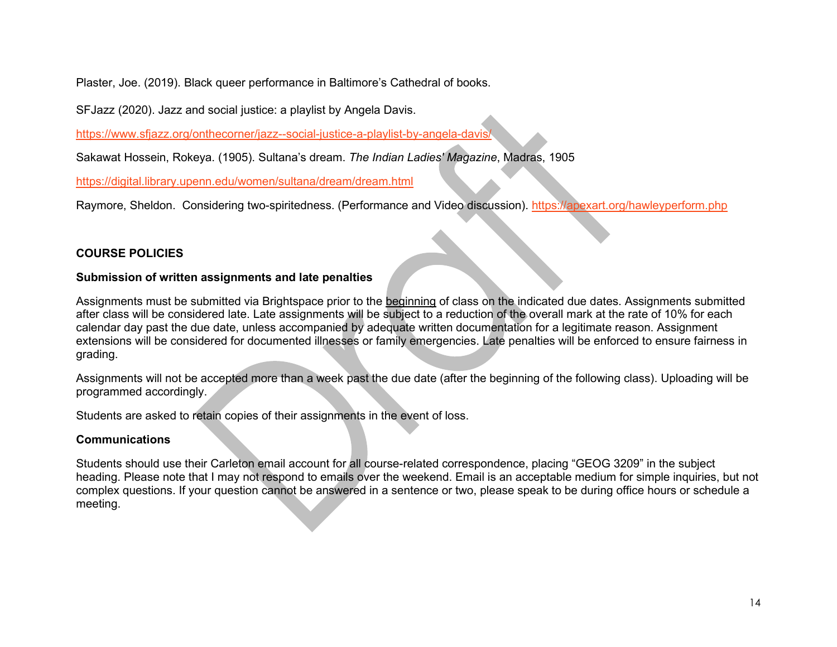Plaster, Joe. (2019). Black queer performance in Baltimore's Cathedral of books.

SFJazz (2020). Jazz and social justice: a playlist by Angela Davis.

<https://www.sfjazz.org/onthecorner/jazz--social-justice-a-playlist-by-angela-davis/>

Sakawat Hossein, Rokeya. (1905). Sultana's dream. *The Indian Ladies' Magazine*, Madras, 1905

<https://digital.library.upenn.edu/women/sultana/dream/dream.html>

Raymore, Sheldon. Considering two-spiritedness. (Performance and Video discussion).<https://apexart.org/hawleyperform.php>

### **COURSE POLICIES**

### **Submission of written assignments and late penalties**

Assignments must be submitted via Brightspace prior to the beginning of class on the indicated due dates. Assignments submitted after class will be considered late. Late assignments will be subject to a reduction of the overall mark at the rate of 10% for each calendar day past the due date, unless accompanied by adequate written documentation for a legitimate reason. Assignment extensions will be considered for documented illnesses or family emergencies. Late penalties will be enforced to ensure fairness in grading.

Assignments will not be accepted more than a week past the due date (after the beginning of the following class). Uploading will be programmed accordingly.

Students are asked to retain copies of their assignments in the event of loss.

### **Communications**

Students should use their Carleton email account for all course-related correspondence, placing "GEOG 3209" in the subject heading. Please note that I may not respond to emails over the weekend. Email is an acceptable medium for simple inquiries, but not complex questions. If your question cannot be answered in a sentence or two, please speak to be during office hours or schedule a meeting.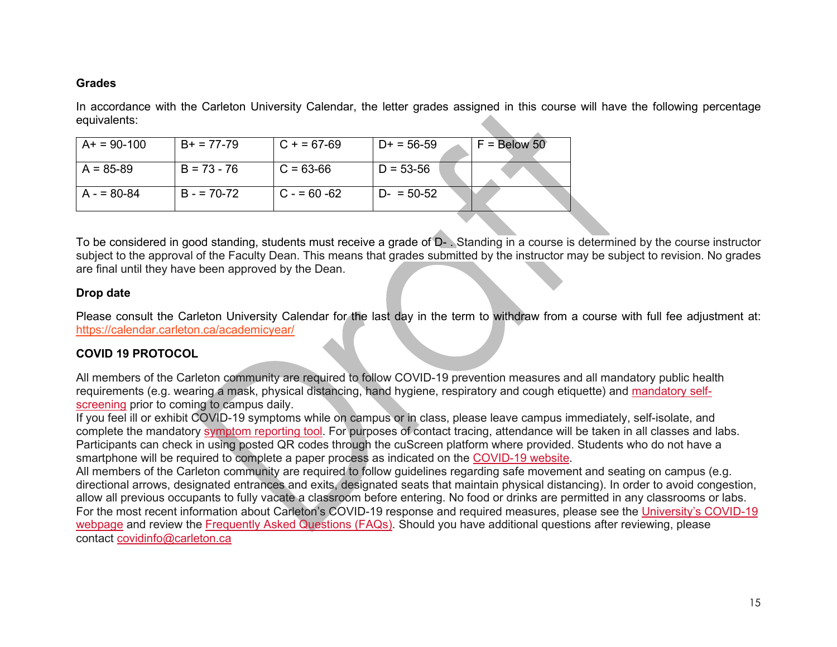#### **Grades**

In accordance with the Carleton University Calendar, the letter grades assigned in this course will have the following percentage equivalents:

| $A+ = 90-100$ | $B+ = 77-79$  | $C + 57-69$   | $D+ = 56-59$  | $F =$ Below 50 |
|---------------|---------------|---------------|---------------|----------------|
| $A = 85-89$   | $B = 73 - 76$ | $C = 63-66$   | $D = 53 - 56$ |                |
| $A = 80-84$   | $B = 70-72$   | $C - 60 - 62$ | $D - 50-52$   |                |

To be considered in good standing, students must receive a grade of D- . Standing in a course is determined by the course instructor subject to the approval of the Faculty Dean. This means that grades submitted by the instructor may be subject to revision. No grades are final until they have been approved by the Dean.

#### **Drop date**

Please consult the Carleton University Calendar for the last day in the term to withdraw from a course with full fee adjustment at: <https://calendar.carleton.ca/academicyear/>

### **COVID 19 PROTOCOL**

All members of the Carleton community are required to follow COVID-19 prevention measures and all mandatory public health requirements (e.g. wearing a mask, physical distancing, hand hygiene, respiratory and cough etiquette) and [mandatory self](https://carleton.ca/covid19/screening/)[screening](https://carleton.ca/covid19/screening/) prior to coming to campus daily.

If you feel ill or exhibit COVID-19 symptoms while on campus or in class, please leave campus immediately, self-isolate, and complete the mandatory [symptom reporting tool.](https://carleton.ca/covid19/covid-19-symptom-reporting/) For purposes of contact tracing, attendance will be taken in all classes and labs. Participants can check in using posted QR codes through the cuScreen platform where provided. Students who do not have a smartphone will be required to complete a paper process as indicated on the [COVID-19 website.](http://carleton.ca/covid19)

All members of the Carleton community are required to follow guidelines regarding safe movement and seating on campus (e.g. directional arrows, designated entrances and exits, designated seats that maintain physical distancing). In order to avoid congestion, allow all previous occupants to fully vacate a classroom before entering. No food or drinks are permitted in any classrooms or labs. For the most recent information about Carleton's COVID-19 response and required measures, please see the [University's COVID-19](https://carleton.ca/covid19/)  [webpage](https://carleton.ca/covid19/) and review the [Frequently Asked Questions \(FAQs\).](https://carleton.ca/covid19/faq/) Should you have additional questions after reviewing, please contact [covidinfo@carleton.ca](mailto:covidinfo@carleton.ca)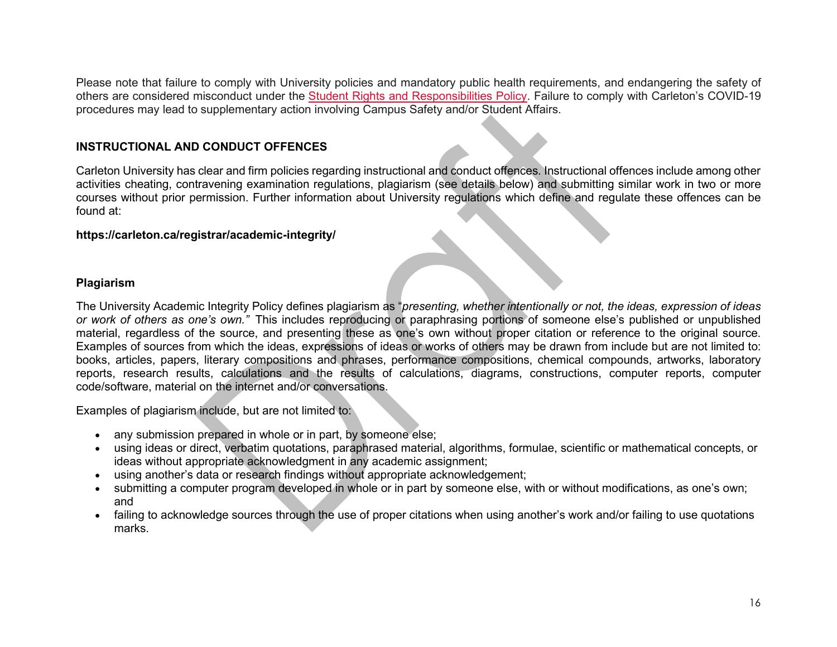Please note that failure to comply with University policies and mandatory public health requirements, and endangering the safety of others are considered misconduct under the [Student Rights and Responsibilities Policy.](https://carleton.ca/studentaffairs/student-rights-and-responsibilities/) Failure to comply with Carleton's COVID-19 procedures may lead to supplementary action involving Campus Safety and/or Student Affairs.

#### **INSTRUCTIONAL AND CONDUCT OFFENCES**

Carleton University has clear and firm policies regarding instructional and conduct offences. Instructional offences include among other activities cheating, contravening examination regulations, plagiarism (see details below) and submitting similar work in two or more courses without prior permission. Further information about University regulations which define and regulate these offences can be found at:

#### **https://carleton.ca/registrar/academic-integrity/**

#### **Plagiarism**

The University Academic Integrity Policy defines plagiarism as "*presenting, whether intentionally or not, the ideas, expression of ideas or work of others as one's own."* This includes reproducing or paraphrasing portions of someone else's published or unpublished material, regardless of the source, and presenting these as one's own without proper citation or reference to the original source. Examples of sources from which the ideas, expressions of ideas or works of others may be drawn from include but are not limited to: books, articles, papers, literary compositions and phrases, performance compositions, chemical compounds, artworks, laboratory reports, research results, calculations and the results of calculations, diagrams, constructions, computer reports, computer code/software, material on the internet and/or conversations.

Examples of plagiarism include, but are not limited to:

- any submission prepared in whole or in part, by someone else;
- using ideas or direct, verbatim quotations, paraphrased material, algorithms, formulae, scientific or mathematical concepts, or ideas without appropriate acknowledgment in any academic assignment;
- using another's data or research findings without appropriate acknowledgement;
- submitting a computer program developed in whole or in part by someone else, with or without modifications, as one's own; and
- failing to acknowledge sources through the use of proper citations when using another's work and/or failing to use quotations marks.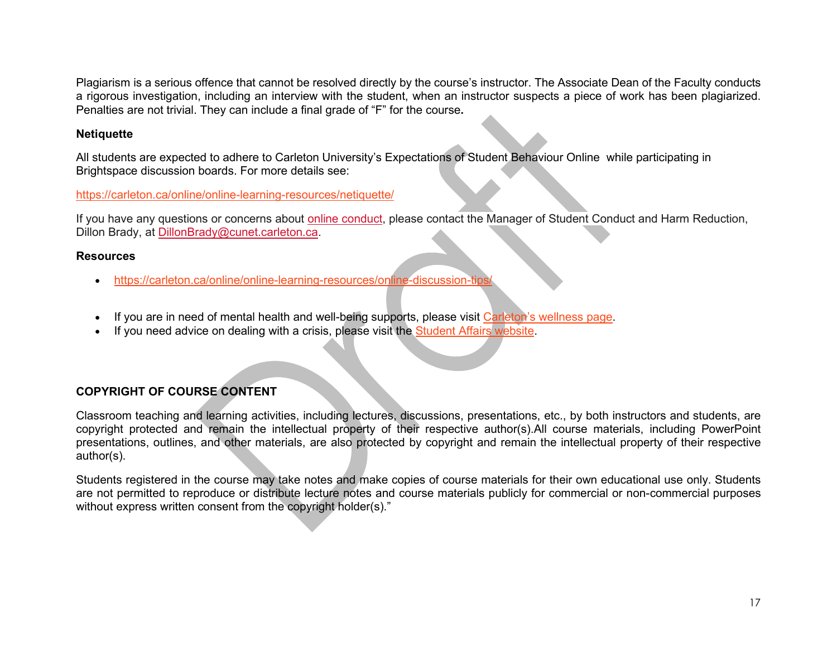Plagiarism is a serious offence that cannot be resolved directly by the course's instructor. The Associate Dean of the Faculty conducts a rigorous investigation, including an interview with the student, when an instructor suspects a piece of work has been plagiarized. Penalties are not trivial. They can include a final grade of "F" for the course**.**

### **Netiquette**

All students are expected to adhere to Carleton University's Expectations of Student Behaviour Online while participating in Brightspace discussion boards. For more details see:

<https://carleton.ca/online/online-learning-resources/netiquette/>

If you have any questions or concerns about [online conduct,](https://carleton.ca/studentaffairs/online-conduct/) please contact the Manager of Student Conduct and Harm Reduction, Dillon Brady, at [DillonBrady@cunet.carleton.ca.](mailto:DillonBrady@cunet.carleton.ca)

#### **Resources**

- <https://carleton.ca/online/online-learning-resources/online-discussion-tips/>
- If you are in need of mental health and well-being supports, please visit [Carleton's wellness page.](https://carleton.ca/wellness/)
- If you need advice on dealing with a crisis, please visit the [Student Affairs website.](https://carleton.ca/studentaffairs/care-report/coping-with-crisis/)

### **COPYRIGHT OF COURSE CONTENT**

Classroom teaching and learning activities, including lectures, discussions, presentations, etc., by both instructors and students, are copyright protected and remain the intellectual property of their respective author(s).All course materials, including PowerPoint presentations, outlines, and other materials, are also protected by copyright and remain the intellectual property of their respective author(s).

Students registered in the course may take notes and make copies of course materials for their own educational use only. Students are not permitted to reproduce or distribute lecture notes and course materials publicly for commercial or non-commercial purposes without express written consent from the copyright holder(s)."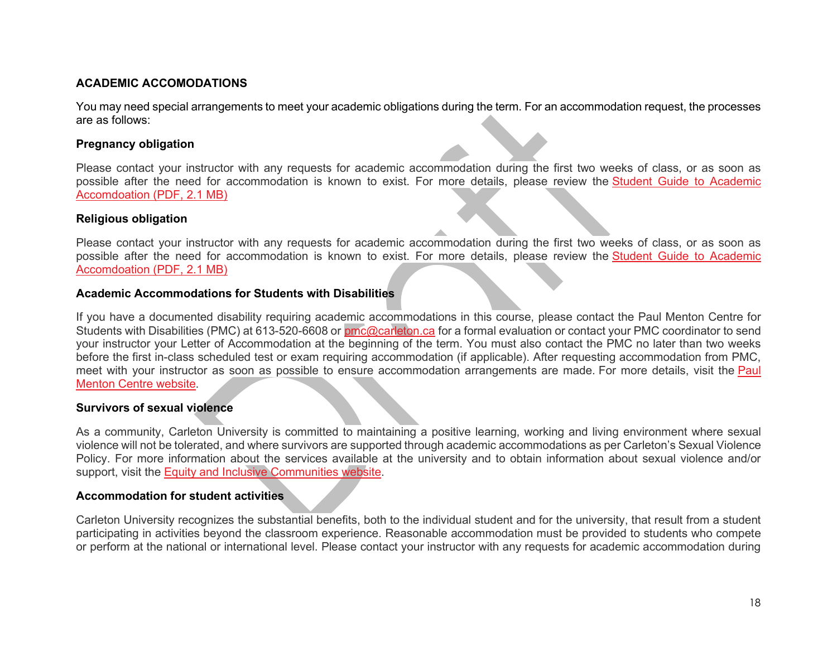#### **ACADEMIC ACCOMODATIONS**

You may need special arrangements to meet your academic obligations during the term. For an accommodation request, the processes are as follows:

#### **Pregnancy obligation**

Please contact your instructor with any requests for academic accommodation during the first two weeks of class, or as soon as possible after the need for accommodation is known to exist. For more details, please review the [Student Guide to Academic](https://carleton.ca/equity/wp-content/uploads/Student-Guide-to-Academic-Accommodation.pdf)  [Accomdoation \(PDF, 2.1 MB\)](https://carleton.ca/equity/wp-content/uploads/Student-Guide-to-Academic-Accommodation.pdf)

#### **Religious obligation**

Please contact your instructor with any requests for academic accommodation during the first two weeks of class, or as soon as possible after the need for accommodation is known to exist. For more details, please review the [Student Guide to Academic](https://carleton.ca/equity/wp-content/uploads/Student-Guide-to-Academic-Accommodation.pdf)  [Accomdoation \(PDF, 2.1 MB\)](https://carleton.ca/equity/wp-content/uploads/Student-Guide-to-Academic-Accommodation.pdf)

#### **Academic Accommodations for Students with Disabilities**

If you have a documented disability requiring academic accommodations in this course, please contact the Paul Menton Centre for Students with Disabilities (PMC) at 613-520-6608 or [pmc@carleton.ca](mailto:pmc@carleton.ca) for a formal evaluation or contact your PMC coordinator to send your instructor your Letter of Accommodation at the beginning of the term. You must also contact the PMC no later than two weeks before the first in-class scheduled test or exam requiring accommodation (if applicable). After requesting accommodation from PMC, meet with your instructor as soon as possible to ensure accommodation arrangements are made. For more details, visit the [Paul](http://carleton.ca/pmc)  [Menton Centre website.](http://carleton.ca/pmc)

#### **Survivors of sexual violence**

As a community, Carleton University is committed to maintaining a positive learning, working and living environment where sexual violence will not be tolerated, and where survivors are supported through academic accommodations as per Carleton's Sexual Violence Policy. For more information about the services available at the university and to obtain information about sexual violence and/or support, visit the [Equity and Inclusive Communities website.](https://carleton.ca/equity/focus/sexual-violence-prevention-survivor-support/)

#### **Accommodation for student activities**

Carleton University recognizes the substantial benefits, both to the individual student and for the university, that result from a student participating in activities beyond the classroom experience. Reasonable accommodation must be provided to students who compete or perform at the national or international level. Please contact your instructor with any requests for academic accommodation during